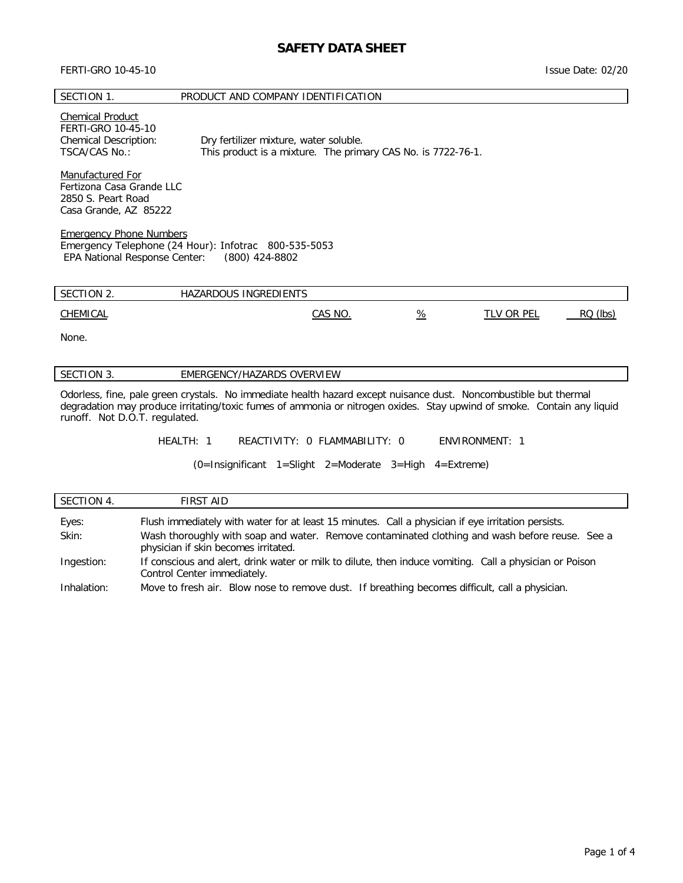# **SAFETY DATA SHEET**

#### FERTI-GRO 10-45-10

Issue Date: 02/20

#### SECTION 1. PRODUCT AND COMPANY IDENTIFICATION

### Chemical Product

FERTI-GRO 10-45-10 Chemical Description: Dry fertilizer mixture, water soluble. TSCA/CAS No.: This product is a mixture. The primary CAS No. is 7722-76-1.

Manufactured For Fertizona Casa Grande LLC 2850 S. Peart Road Casa Grande, AZ 85222

Emergency Phone Numbers Emergency Telephone (24 Hour): Infotrac 800-535-5053 EPA National Response Center: (800) 424-8802

| SECTION 2. | HAZARDOUS INGREDIENTS |         |               |                   |          |
|------------|-----------------------|---------|---------------|-------------------|----------|
| CHEMICAL   |                       | CAS NO. | $\frac{9}{6}$ | <b>TLV OR PEL</b> | RQ (lbs) |
| None.      |                       |         |               |                   |          |

### SECTION 3. **EMERGENCY/HAZARDS OVERVIEW**

Odorless, fine, pale green crystals. No immediate health hazard except nuisance dust. Noncombustible but thermal degradation may produce irritating/toxic fumes of ammonia or nitrogen oxides. Stay upwind of smoke. Contain any liquid runoff. Not D.O.T. regulated.

HEALTH: 1 REACTIVITY: 0 FLAMMABILITY: 0 ENVIRONMENT: 1

(0=Insignificant 1=Slight 2=Moderate 3=High 4=Extreme)

| SECTION 4.  | FIRST AID                                                                                                                              |  |
|-------------|----------------------------------------------------------------------------------------------------------------------------------------|--|
| Eyes:       | Flush immediately with water for at least 15 minutes. Call a physician if eye irritation persists.                                     |  |
| Skin:       | Wash thoroughly with soap and water. Remove contaminated clothing and wash before reuse. See a<br>physician if skin becomes irritated. |  |
| Ingestion:  | If conscious and alert, drink water or milk to dilute, then induce vomiting. Call a physician or Poison<br>Control Center immediately. |  |
| Inhalation: | Move to fresh air. Blow nose to remove dust. If breathing becomes difficult, call a physician.                                         |  |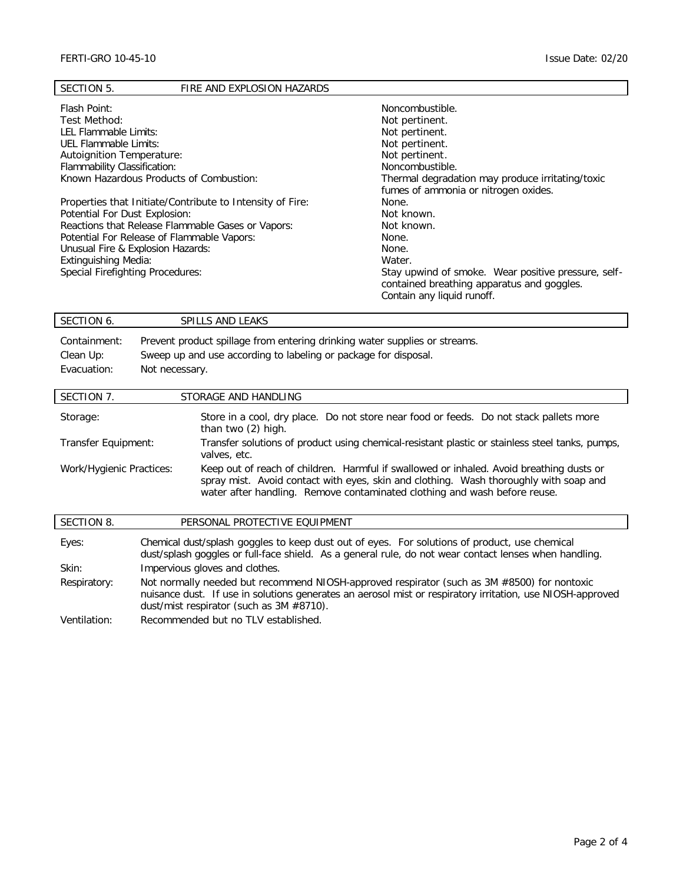| SECTION 5.<br>FIRE AND EXPLOSION HAZARDS                  |                                                     |
|-----------------------------------------------------------|-----------------------------------------------------|
| Flash Point:                                              | Noncombustible.                                     |
| Test Method:                                              | Not pertinent.                                      |
| LEL Flammable Limits:                                     | Not pertinent.                                      |
| UEL Flammable Limits:                                     | Not pertinent.                                      |
| Autoignition Temperature:                                 | Not pertinent.                                      |
| Flammability Classification:                              | Noncombustible.                                     |
| Known Hazardous Products of Combustion:                   | Thermal degradation may produce irritating/toxic    |
|                                                           | fumes of ammonia or nitrogen oxides.                |
| Properties that Initiate/Contribute to Intensity of Fire: | None.                                               |
| Potential For Dust Explosion:                             | Not known.                                          |
| Reactions that Release Flammable Gases or Vapors:         | Not known.                                          |
| Potential For Release of Flammable Vapors:                | None.                                               |
| Unusual Fire & Explosion Hazards:                         | None.                                               |
| <b>Extinguishing Media:</b>                               | Water.                                              |
| Special Firefighting Procedures:                          | Stay upwind of smoke. Wear positive pressure, self- |
|                                                           | contained breathing apparatus and goggles.          |
|                                                           | Contain any liquid runoff.                          |
|                                                           |                                                     |

| SECTION 6.                               | SPILLS AND LEAKS                                                                                                                                                |
|------------------------------------------|-----------------------------------------------------------------------------------------------------------------------------------------------------------------|
| Containment:<br>Clean Up:<br>Evacuation: | Prevent product spillage from entering drinking water supplies or streams.<br>Sweep up and use according to labeling or package for disposal.<br>Not necessary. |
| SECTION 7.                               | STORAGE AND HANDLING                                                                                                                                            |

| Storage:                 | Store in a cool, dry place. Do not store near food or feeds. Do not stack pallets more<br>than two (2) high.                                                                                                                                                   |  |
|--------------------------|----------------------------------------------------------------------------------------------------------------------------------------------------------------------------------------------------------------------------------------------------------------|--|
| Transfer Equipment:      | Transfer solutions of product using chemical-resistant plastic or stainless steel tanks, pumps,<br>valves, etc.                                                                                                                                                |  |
| Work/Hygienic Practices: | Keep out of reach of children. Harmful if swallowed or inhaled. Avoid breathing dusts or<br>spray mist. Avoid contact with eyes, skin and clothing. Wash thoroughly with soap and<br>water after handling. Remove contaminated clothing and wash before reuse. |  |

| SECTION 8.   | PERSONAL PROTECTIVE EQUIPMENT                                                                                                                                                                                                                         |
|--------------|-------------------------------------------------------------------------------------------------------------------------------------------------------------------------------------------------------------------------------------------------------|
| Eyes:        | Chemical dust/splash goggles to keep dust out of eyes. For solutions of product, use chemical<br>dust/splash goggles or full-face shield. As a general rule, do not wear contact lenses when handling.                                                |
| Skin:        | Impervious gloves and clothes.                                                                                                                                                                                                                        |
| Respiratory: | Not normally needed but recommend NIOSH-approved respirator (such as 3M #8500) for nontoxic<br>nuisance dust. If use in solutions generates an aerosol mist or respiratory irritation, use NIOSH-approved<br>dust/mist respirator (such as 3M #8710). |
| Ventilation: | Recommended but no TLV established.                                                                                                                                                                                                                   |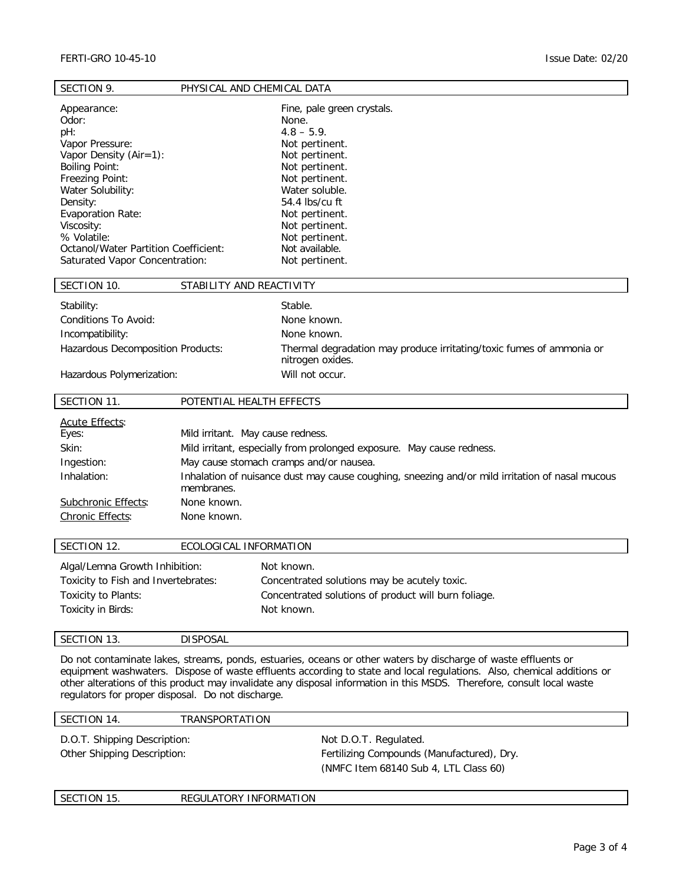| SECTION 9.                                                                                                                                                                                                                                                                           | PHYSICAL AND CHEMICAL DATA                                                    |                                                                                                                                                                                                                                                            |
|--------------------------------------------------------------------------------------------------------------------------------------------------------------------------------------------------------------------------------------------------------------------------------------|-------------------------------------------------------------------------------|------------------------------------------------------------------------------------------------------------------------------------------------------------------------------------------------------------------------------------------------------------|
| Appearance:<br>Odor:<br>pH:<br>Vapor Pressure:<br>Vapor Density $(Air=1)$ :<br><b>Boiling Point:</b><br>Freezing Point:<br>Water Solubility:<br>Density:<br>Evaporation Rate:<br>Viscosity:<br>% Volatile:<br>Octanol/Water Partition Coefficient:<br>Saturated Vapor Concentration: |                                                                               | Fine, pale green crystals.<br>None.<br>$4.8 - 5.9$ .<br>Not pertinent.<br>Not pertinent.<br>Not pertinent.<br>Not pertinent.<br>Water soluble.<br>54.4 lbs/cu ft<br>Not pertinent.<br>Not pertinent.<br>Not pertinent.<br>Not available.<br>Not pertinent. |
| SECTION 10.                                                                                                                                                                                                                                                                          | STABILITY AND REACTIVITY                                                      |                                                                                                                                                                                                                                                            |
| Stability:<br>Conditions To Avoid:<br>Incompatibility:<br>Hazardous Decomposition Products:<br>Hazardous Polymerization:                                                                                                                                                             |                                                                               | Stable.<br>None known.<br>None known.<br>Thermal degradation may produce irritating/toxic fumes of ammonia or<br>nitrogen oxides.<br>Will not occur.                                                                                                       |
| SECTION 11.                                                                                                                                                                                                                                                                          | POTENTIAL HEALTH EFFECTS                                                      |                                                                                                                                                                                                                                                            |
| <b>Acute Effects:</b><br>Eyes:<br>Skin:<br>Ingestion:<br>Inhalation:<br>Subchronic Effects:<br>Chronic Effects:                                                                                                                                                                      | Mild irritant. May cause redness.<br>membranes.<br>None known.<br>None known. | Mild irritant, especially from prolonged exposure. May cause redness.<br>May cause stomach cramps and/or nausea.<br>Inhalation of nuisance dust may cause coughing, sneezing and/or mild irritation of nasal mucous                                        |
| SECTION 12.                                                                                                                                                                                                                                                                          | ECOLOGICAL INFORMATION                                                        |                                                                                                                                                                                                                                                            |
| Algal/Lemna Growth Inhibition:<br>Toxicity to Fish and Invertebrates:<br>Toxicity to Plants:<br>Toxicity in Birds:                                                                                                                                                                   |                                                                               | Not known.<br>Concentrated solutions may be acutely toxic.<br>Concentrated solutions of product will burn foliage.<br>Not known.                                                                                                                           |
| SECTION 13.                                                                                                                                                                                                                                                                          | DISPOSAL                                                                      |                                                                                                                                                                                                                                                            |
|                                                                                                                                                                                                                                                                                      |                                                                               | Do not contaminate lakes, streams, ponds, estuaries, oceans or other waters by discharge of waste effluents or<br>equipment washwaters. Dispose of waste effluents according to state and local regulations. Also, chemical additions or                   |

other alterations of this product may invalidate any disposal information in this MSDS. Therefore, consult local waste regulators for proper disposal. Do not discharge.

SECTION 14. TRANSPORTATION

D.O.T. Shipping Description: Not D.O.T. Regulated.

Other Shipping Description: Fertilizing Compounds (Manufactured), Dry. (NMFC Item 68140 Sub 4, LTL Class 60)

| SECTION 15. | REGULATORY INFORMATION |
|-------------|------------------------|